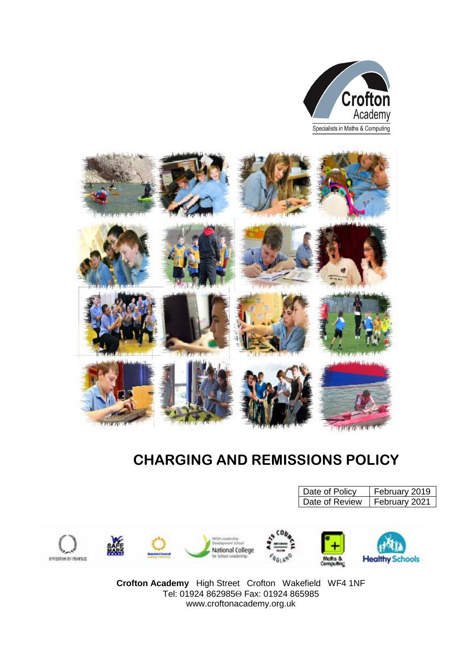



# **CHARGING AND REMISSIONS POLICY**

|                          |    |                                           |                         | Date of Policy<br>Date of Review | February 2019<br>February 2021 |
|--------------------------|----|-------------------------------------------|-------------------------|----------------------------------|--------------------------------|
| <b>EVESTOR IN PLOTER</b> | ТÆ | National College<br>for School Leadership | CO <sub>b</sub><br>461h | Maths &<br>concuting             | <b>Healthy Schools</b>         |

**Crofton Academy** High Street Crofton Wakefield WF4 1NF Tel: 01924 8629850 Fax: 01924 865985 www.croftonacademy.org.uk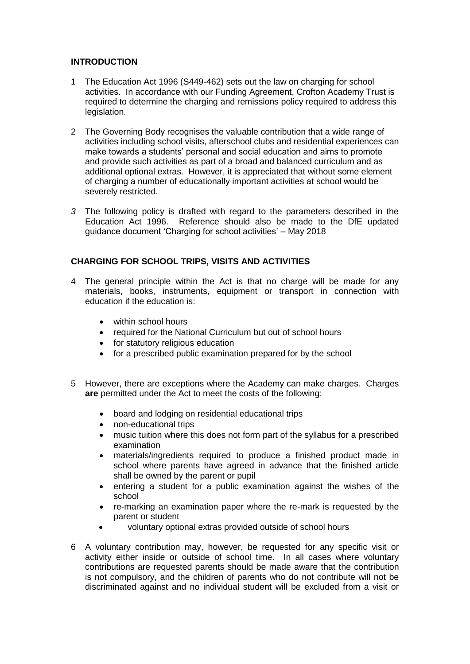# **INTRODUCTION**

- 1 The Education Act 1996 (S449-462) sets out the law on charging for school activities. In accordance with our Funding Agreement, Crofton Academy Trust is required to determine the charging and remissions policy required to address this legislation.
- 2 The Governing Body recognises the valuable contribution that a wide range of activities including school visits, afterschool clubs and residential experiences can make towards a students' personal and social education and aims to promote and provide such activities as part of a broad and balanced curriculum and as additional optional extras. However, it is appreciated that without some element of charging a number of educationally important activities at school would be severely restricted.
- *3* The following policy is drafted with regard to the parameters described in the Education Act 1996. Reference should also be made to the DfE updated guidance document 'Charging for school activities' – May 2018

# **CHARGING FOR SCHOOL TRIPS, VISITS AND ACTIVITIES**

- 4 The general principle within the Act is that no charge will be made for any materials, books, instruments, equipment or transport in connection with education if the education is:
	- within school hours
	- required for the National Curriculum but out of school hours
	- for statutory religious education
	- for a prescribed public examination prepared for by the school
- 5 However, there are exceptions where the Academy can make charges. Charges **are** permitted under the Act to meet the costs of the following:
	- board and lodging on residential educational trips
	- non-educational trips
	- music tuition where this does not form part of the syllabus for a prescribed examination
	- materials/ingredients required to produce a finished product made in school where parents have agreed in advance that the finished article shall be owned by the parent or pupil
	- entering a student for a public examination against the wishes of the school
	- re-marking an examination paper where the re-mark is requested by the parent or student
	- voluntary optional extras provided outside of school hours
- 6 A voluntary contribution may, however, be requested for any specific visit or activity either inside or outside of school time. In all cases where voluntary contributions are requested parents should be made aware that the contribution is not compulsory, and the children of parents who do not contribute will not be discriminated against and no individual student will be excluded from a visit or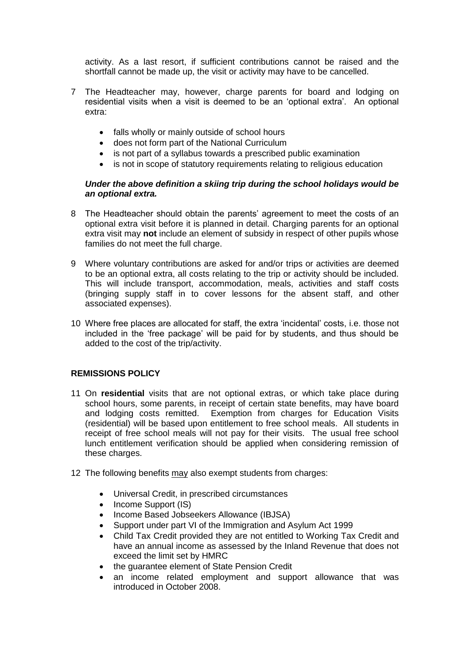activity. As a last resort, if sufficient contributions cannot be raised and the shortfall cannot be made up, the visit or activity may have to be cancelled.

- 7 The Headteacher may, however, charge parents for board and lodging on residential visits when a visit is deemed to be an 'optional extra'. An optional extra:
	- falls wholly or mainly outside of school hours
	- does not form part of the National Curriculum
	- is not part of a syllabus towards a prescribed public examination
	- is not in scope of statutory requirements relating to religious education

### *Under the above definition a skiing trip during the school holidays would be an optional extra.*

- 8 The Headteacher should obtain the parents' agreement to meet the costs of an optional extra visit before it is planned in detail. Charging parents for an optional extra visit may **not** include an element of subsidy in respect of other pupils whose families do not meet the full charge.
- 9 Where voluntary contributions are asked for and/or trips or activities are deemed to be an optional extra, all costs relating to the trip or activity should be included. This will include transport, accommodation, meals, activities and staff costs (bringing supply staff in to cover lessons for the absent staff, and other associated expenses).
- 10 Where free places are allocated for staff, the extra 'incidental' costs, i.e. those not included in the 'free package' will be paid for by students, and thus should be added to the cost of the trip/activity.

# **REMISSIONS POLICY**

- 11 On **residential** visits that are not optional extras, or which take place during school hours, some parents, in receipt of certain state benefits, may have board and lodging costs remitted. Exemption from charges for Education Visits (residential) will be based upon entitlement to free school meals. All students in receipt of free school meals will not pay for their visits. The usual free school lunch entitlement verification should be applied when considering remission of these charges.
- 12 The following benefits may also exempt students from charges:
	- Universal Credit, in prescribed circumstances
	- Income Support (IS)
	- Income Based Jobseekers Allowance (IBJSA)
	- Support under part VI of the Immigration and Asylum Act 1999
	- Child Tax Credit provided they are not entitled to Working Tax Credit and have an annual income as assessed by the Inland Revenue that does not exceed the limit set by HMRC
	- the guarantee element of State Pension Credit
	- an income related employment and support allowance that was introduced in October 2008.